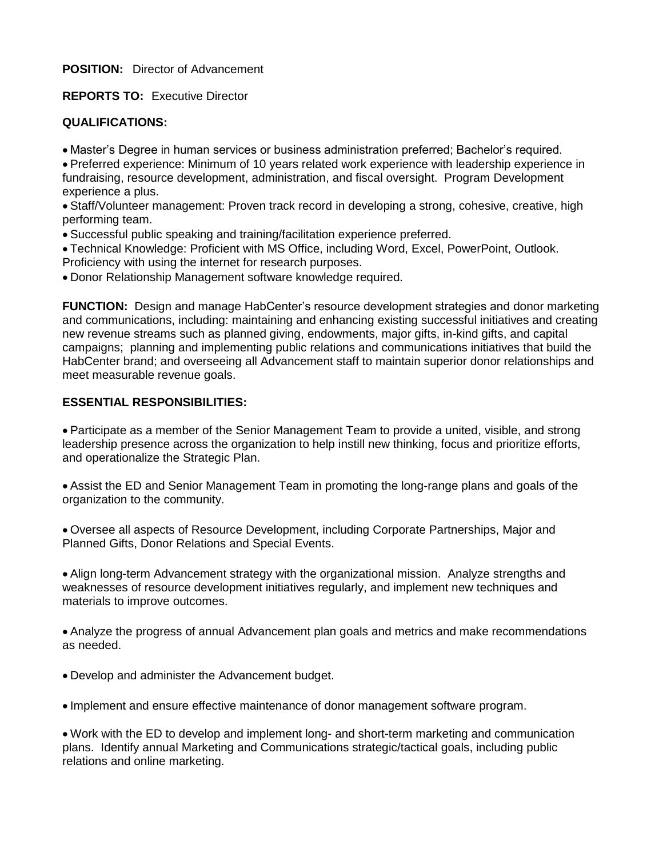**POSITION:** Director of Advancement

**REPORTS TO:** Executive Director

## **QUALIFICATIONS:**

Master's Degree in human services or business administration preferred; Bachelor's required.

 Preferred experience: Minimum of 10 years related work experience with leadership experience in fundraising, resource development, administration, and fiscal oversight. Program Development experience a plus.

 Staff/Volunteer management: Proven track record in developing a strong, cohesive, creative, high performing team.

Successful public speaking and training/facilitation experience preferred.

 Technical Knowledge: Proficient with MS Office, including Word, Excel, PowerPoint, Outlook. Proficiency with using the internet for research purposes.

Donor Relationship Management software knowledge required.

**FUNCTION:** Design and manage HabCenter's resource development strategies and donor marketing and communications, including: maintaining and enhancing existing successful initiatives and creating new revenue streams such as planned giving, endowments, major gifts, in-kind gifts, and capital campaigns; planning and implementing public relations and communications initiatives that build the HabCenter brand; and overseeing all Advancement staff to maintain superior donor relationships and meet measurable revenue goals.

## **ESSENTIAL RESPONSIBILITIES:**

 Participate as a member of the Senior Management Team to provide a united, visible, and strong leadership presence across the organization to help instill new thinking, focus and prioritize efforts, and operationalize the Strategic Plan.

 Assist the ED and Senior Management Team in promoting the long-range plans and goals of the organization to the community.

 Oversee all aspects of Resource Development, including Corporate Partnerships, Major and Planned Gifts, Donor Relations and Special Events.

 Align long-term Advancement strategy with the organizational mission. Analyze strengths and weaknesses of resource development initiatives regularly, and implement new techniques and materials to improve outcomes.

 Analyze the progress of annual Advancement plan goals and metrics and make recommendations as needed.

Develop and administer the Advancement budget.

Implement and ensure effective maintenance of donor management software program.

 Work with the ED to develop and implement long- and short-term marketing and communication plans. Identify annual Marketing and Communications strategic/tactical goals, including public relations and online marketing.